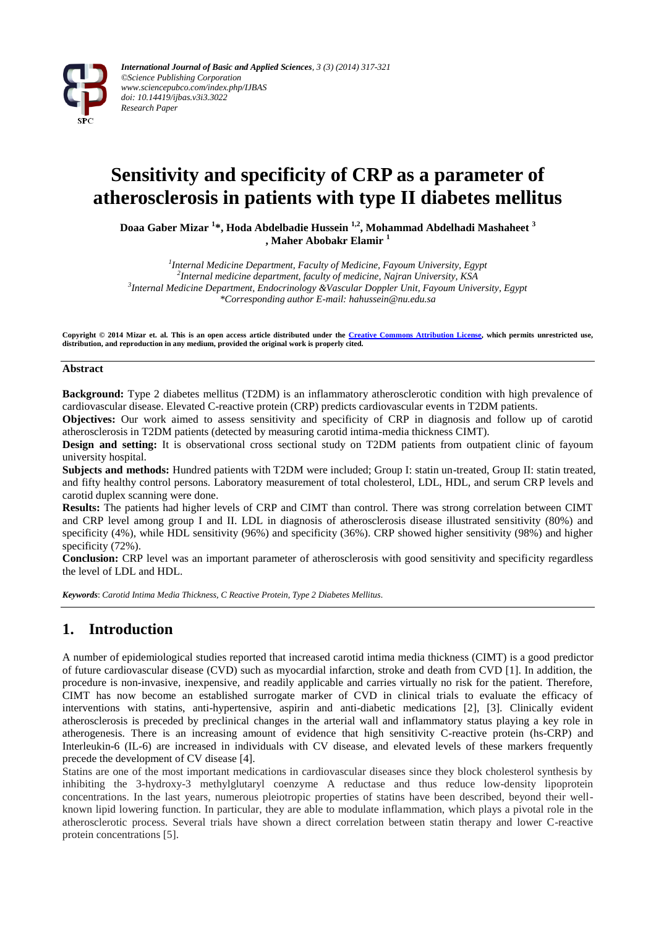

# **Sensitivity and specificity of CRP as a parameter of atherosclerosis in patients with type II diabetes mellitus**

**Doaa Gaber Mizar <sup>1</sup> \*, Hoda Abdelbadie Hussein 1,2 , Mohammad Abdelhadi Mashaheet <sup>3</sup> , Maher Abobakr Elamir <sup>1</sup>**

 *Internal Medicine Department, Faculty of Medicine, Fayoum University, Egypt Internal medicine department, faculty of medicine, Najran University, KSA Internal Medicine Department, Endocrinology &Vascular Doppler Unit, Fayoum University, Egypt \*Corresponding author E-mail: hahussein@nu.edu.sa*

**Copyright © 2014 Mizar et. al. This is an open access article distributed under the [Creative Commons Attribution License,](http://creativecommons.org/licenses/by/3.0/) which permits unrestricted use, distribution, and reproduction in any medium, provided the original work is properly cited.**

#### **Abstract**

**Background:** Type 2 diabetes mellitus (T2DM) is an inflammatory atherosclerotic condition with high prevalence of cardiovascular disease. Elevated C-reactive protein (CRP) predicts cardiovascular events in T2DM patients.

**Objectives:** Our work aimed to assess sensitivity and specificity of CRP in diagnosis and follow up of carotid atherosclerosis in T2DM patients (detected by measuring carotid intima-media thickness CIMT).

**Design and setting:** It is observational cross sectional study on T2DM patients from outpatient clinic of fayoum university hospital.

**Subjects and methods:** Hundred patients with T2DM were included; Group I: statin un-treated, Group II: statin treated, and fifty healthy control persons. Laboratory measurement of total cholesterol, LDL, HDL, and serum CRP levels and carotid duplex scanning were done.

**Results:** The patients had higher levels of CRP and CIMT than control. There was strong correlation between CIMT and CRP level among group I and II. LDL in diagnosis of atherosclerosis disease illustrated sensitivity (80%) and specificity (4%), while HDL sensitivity (96%) and specificity (36%). CRP showed higher sensitivity (98%) and higher specificity (72%).

**Conclusion:** CRP level was an important parameter of atherosclerosis with good sensitivity and specificity regardless the level of LDL and HDL.

*Keywords*: *Carotid Intima Media Thickness, C Reactive Protein, Type 2 Diabetes Mellitus.*

## **1. Introduction**

A number of epidemiological studies reported that increased carotid intima media thickness (CIMT) is a good predictor of future cardiovascular disease (CVD) such as myocardial infarction, stroke and death from CVD [1]. In addition, the procedure is non-invasive, inexpensive, and readily applicable and carries virtually no risk for the patient. Therefore, CIMT has now become an established surrogate marker of CVD in clinical trials to evaluate the efficacy of interventions with statins, anti-hypertensive, aspirin and anti-diabetic medications [2], [3]. Clinically evident atherosclerosis is preceded by preclinical changes in the arterial wall and inflammatory status playing a key role in atherogenesis. There is an increasing amount of evidence that high sensitivity C-reactive protein (hs-CRP) and Interleukin-6 (IL-6) are increased in individuals with CV disease, and elevated levels of these markers frequently precede the development of CV disease [4].

Statins are one of the most important medications in cardiovascular diseases since they block cholesterol synthesis by inhibiting the 3-hydroxy-3 methylglutaryl coenzyme A reductase and thus reduce low-density lipoprotein concentrations. In the last years, numerous pleiotropic properties of statins have been described, beyond their wellknown lipid lowering function. In particular, they are able to modulate inflammation, which plays a pivotal role in the atherosclerotic process. Several trials have shown a direct correlation between statin therapy and lower C-reactive protein concentrations [5].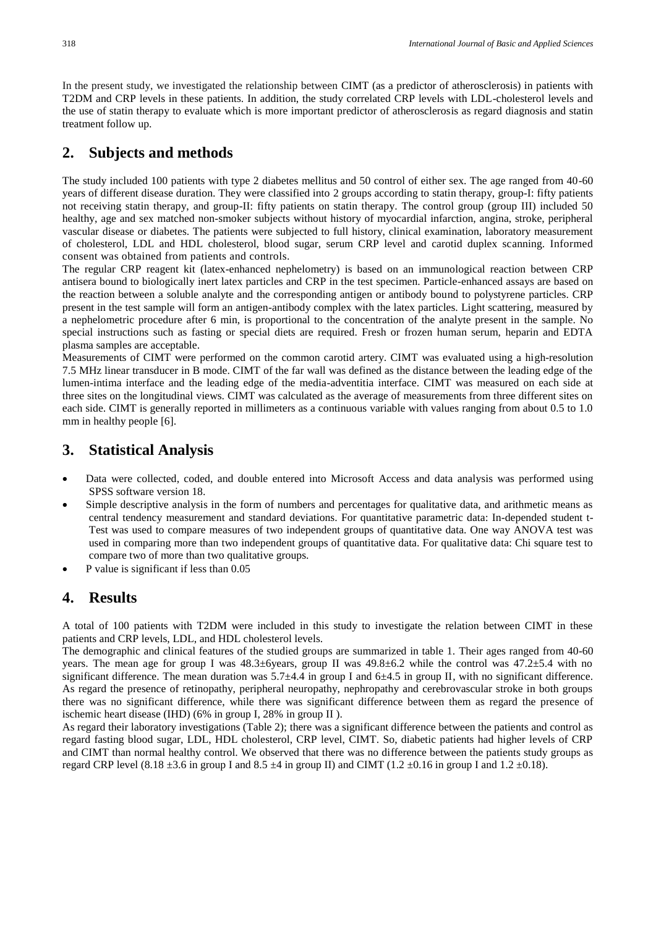In the present study, we investigated the relationship between CIMT (as a predictor of atherosclerosis) in patients with T2DM and CRP levels in these patients. In addition, the study correlated CRP levels with LDL-cholesterol levels and the use of statin therapy to evaluate which is more important predictor of atherosclerosis as regard diagnosis and statin treatment follow up.

### **2. Subjects and methods**

The study included 100 patients with type 2 diabetes mellitus and 50 control of either sex. The age ranged from 40-60 years of different disease duration. They were classified into 2 groups according to statin therapy, group-I: fifty patients not receiving statin therapy, and group-II: fifty patients on statin therapy. The control group (group III) included 50 healthy, age and sex matched non-smoker subjects without history of myocardial infarction, angina, stroke, peripheral vascular disease or diabetes. The patients were subjected to full history, clinical examination, laboratory measurement of cholesterol, LDL and HDL cholesterol, blood sugar, serum CRP level and carotid duplex scanning. Informed consent was obtained from patients and controls.

The regular CRP reagent kit (latex-enhanced nephelometry) is based on an immunological reaction between CRP antisera bound to biologically inert latex particles and CRP in the test specimen. Particle-enhanced assays are based on the reaction between a soluble analyte and the corresponding antigen or antibody bound to polystyrene particles. CRP present in the test sample will form an antigen-antibody complex with the latex particles. Light scattering, measured by a nephelometric procedure after 6 min, is proportional to the concentration of the analyte present in the sample. No special instructions such as fasting or special diets are required. Fresh or frozen human serum, heparin and EDTA plasma samples are acceptable.

Measurements of CIMT were performed on the common carotid artery. CIMT was evaluated using a high-resolution 7.5 MHz linear transducer in B mode. CIMT of the far wall was defined as the distance between the leading edge of the lumen-intima interface and the leading edge of the media-adventitia interface. CIMT was measured on each side at three sites on the longitudinal views. CIMT was calculated as the average of measurements from three different sites on each side. CIMT is generally reported in millimeters as a continuous variable with values ranging from about 0.5 to 1.0 mm in healthy people [6].

#### **3. Statistical Analysis**

- Data were collected, coded, and double entered into Microsoft Access and data analysis was performed using SPSS software version 18.
- Simple descriptive analysis in the form of numbers and percentages for qualitative data, and arithmetic means as central tendency measurement and standard deviations. For quantitative parametric data: In-depended student t-Test was used to compare measures of two independent groups of quantitative data. One way ANOVA test was used in comparing more than two independent groups of quantitative data. For qualitative data: Chi square test to compare two of more than two qualitative groups.
- P value is significant if less than 0.05

#### **4. Results**

A total of 100 patients with T2DM were included in this study to investigate the relation between CIMT in these patients and CRP levels, LDL, and HDL cholesterol levels.

The demographic and clinical features of the studied groups are summarized in table 1. Their ages ranged from 40-60 years. The mean age for group I was 48.3±6years, group II was 49.8±6.2 while the control was 47.2±5.4 with no significant difference. The mean duration was  $5.7\pm4.4$  in group I and  $6\pm4.5$  in group II, with no significant difference. As regard the presence of retinopathy, peripheral neuropathy, nephropathy and cerebrovascular stroke in both groups there was no significant difference, while there was significant difference between them as regard the presence of ischemic heart disease (IHD) (6% in group I, 28% in group II ).

As regard their laboratory investigations (Table 2); there was a significant difference between the patients and control as regard fasting blood sugar, LDL, HDL cholesterol, CRP level, CIMT. So, diabetic patients had higher levels of CRP and CIMT than normal healthy control. We observed that there was no difference between the patients study groups as regard CRP level (8.18  $\pm$ 3.6 in group I and 8.5  $\pm$ 4 in group II) and CIMT (1.2  $\pm$ 0.16 in group I and 1.2  $\pm$ 0.18).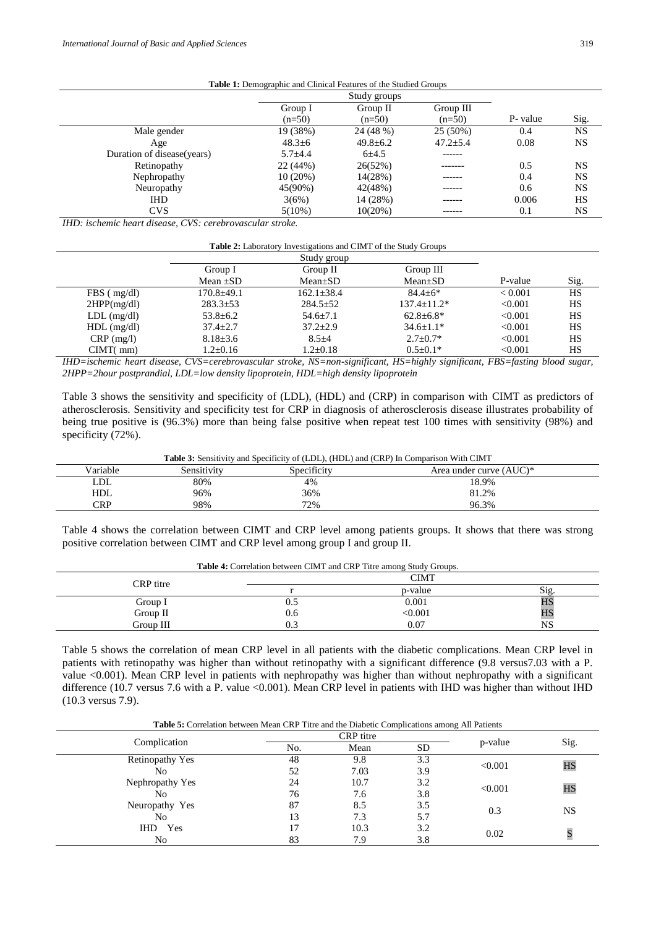| Table 1: Demographic and Clinical Features of the Studied Groups |  |
|------------------------------------------------------------------|--|
|------------------------------------------------------------------|--|

|                             | Study groups |                |                |          |           |
|-----------------------------|--------------|----------------|----------------|----------|-----------|
|                             | Group I      | Group II       | Group III      |          |           |
|                             | $(n=50)$     | $(n=50)$       | $(n=50)$       | P- value | Sig.      |
| Male gender                 | 19 (38%)     | 24 (48 %)      | $25(50\%)$     | 0.4      | <b>NS</b> |
| Age                         | $48.3 \pm 6$ | $49.8 \pm 6.2$ | $47.2 \pm 5.4$ | 0.08     | <b>NS</b> |
| Duration of disease (years) | $5.7 + 4.4$  | $6 + 4.5$      | ------         |          |           |
| Retinopathy                 | 22(44%)      | 26(52%)        | -------        | 0.5      | <b>NS</b> |
| Nephropathy                 | 10(20%)      | 14(28%)        | ------         | 0.4      | <b>NS</b> |
| Neuropathy                  | 45(90%)      | 42(48%)        | .              | 0.6      | <b>NS</b> |
| <b>IHD</b>                  | 3(6%)        | 14 (28%)       |                | 0.006    | HS        |
| <b>CVS</b>                  | $5(10\%)$    | 10(20%)        | ------         | 0.1      | <b>NS</b> |

*IHD: ischemic heart disease, CVS: cerebrovascular stroke.*

| <b>Table 2:</b> Laboratory Investigations and CIMT of the Study Groups |  |
|------------------------------------------------------------------------|--|
|------------------------------------------------------------------------|--|

|                   |                | Study group    |                  |         |           |
|-------------------|----------------|----------------|------------------|---------|-----------|
|                   | Group I        | Group II       | Group III        |         |           |
|                   | Mean $\pm SD$  | $Mean \pm SD$  | $Mean \pm SD$    | P-value | Sig.      |
| $FBS$ ( $mg/dl$ ) | $170.8 + 49.1$ | $162.1 + 38.4$ | $84.4 + 6*$      | < 0.001 | <b>HS</b> |
| 2HPP(mg/dl)       | $283.3 \pm 53$ | $284.5 \pm 52$ | $137.4 + 11.2*$  | < 0.001 | HS        |
| $LDL$ (mg/dl)     | $53.8 \pm 6.2$ | $54.6 \pm 7.1$ | $62.8 \pm 6.8^*$ | < 0.001 | HS        |
| $HDL$ (mg/dl)     | $37.4 \pm 2.7$ | $37.2 \pm 2.9$ | $34.6 \pm 1.1*$  | < 0.001 | HS        |
| $CRP$ (mg/l)      | $8.18 \pm 3.6$ | $8.5 + 4$      | $2.7+0.7*$       | < 0.001 | HS        |
| CIMT(mm)          | $1.2 \pm 0.16$ | $1.2 \pm 0.18$ | $0.5 \pm 0.1*$   | < 0.001 | HS        |

*IHD=ischemic heart disease, CVS=cerebrovascular stroke, NS=non-significant, HS=highly significant, FBS=fasting blood sugar, 2HPP=2hour postprandial, LDL=low density lipoprotein, HDL=high density lipoprotein*

Table 3 shows the sensitivity and specificity of (LDL), (HDL) and (CRP) in comparison with CIMT as predictors of atherosclerosis. Sensitivity and specificity test for CRP in diagnosis of atherosclerosis disease illustrates probability of being true positive is (96.3%) more than being false positive when repeat test 100 times with sensitivity (98%) and specificity (72%).

**Table 3:** Sensitivity and Specificity of (LDL), (HDL) and (CRP) In Comparison With CIMT

| Variable   | Sensitivity | Specificity | Area under curve (AUC)* |
|------------|-------------|-------------|-------------------------|
| LDL        | 80%         | 4%          | 18.9%                   |
| <b>HDL</b> | 96%         | 36%         | 81.2%                   |
| <b>CRP</b> | 98%         | 72%         | 96.3%                   |
|            |             |             |                         |

Table 4 shows the correlation between CIMT and CRP level among patients groups. It shows that there was strong positive correlation between CIMT and CRP level among group I and group II.

| <b>Table 4:</b> Correlation between CIMT and CRP Titre among Study Groups. |         |      |  |  |
|----------------------------------------------------------------------------|---------|------|--|--|
| CIMT                                                                       |         |      |  |  |
|                                                                            | p-value | Sig. |  |  |
| U.S                                                                        | 0.001   | HS   |  |  |
| 0.6                                                                        | < 0.001 | HS   |  |  |
| 0.3                                                                        | 0.07    | NS   |  |  |
|                                                                            |         |      |  |  |

Table 5 shows the correlation of mean CRP level in all patients with the diabetic complications. Mean CRP level in patients with retinopathy was higher than without retinopathy with a significant difference (9.8 versus7.03 with a P. value <0.001). Mean CRP level in patients with nephropathy was higher than without nephropathy with a significant difference (10.7 versus 7.6 with a P. value <0.001). Mean CRP level in patients with IHD was higher than without IHD (10.3 versus 7.9).

**Table 5:** Correlation between Mean CRP Titre and the Diabetic Complications among All Patients

| Complication           | CRP titre |      |           |         |           |
|------------------------|-----------|------|-----------|---------|-----------|
|                        | No.       | Mean | <b>SD</b> | p-value | Sig.      |
| <b>Retinopathy Yes</b> | 48        | 9.8  | 3.3       | < 0.001 | HS        |
| No                     | 52        | 7.03 | 3.9       |         |           |
| Nephropathy Yes        | 24        | 10.7 | 3.2       | < 0.001 | HS        |
| No                     | 76        | 7.6  | 3.8       |         |           |
| Neuropathy Yes         | 87        | 8.5  | 3.5       | 0.3     | <b>NS</b> |
| No                     | 13        | 7.3  | 5.7       |         |           |
| IHD<br>Yes             | 17        | 10.3 | 3.2       | 0.02    |           |
| No                     | 83        | 7.9  | 3.8       |         |           |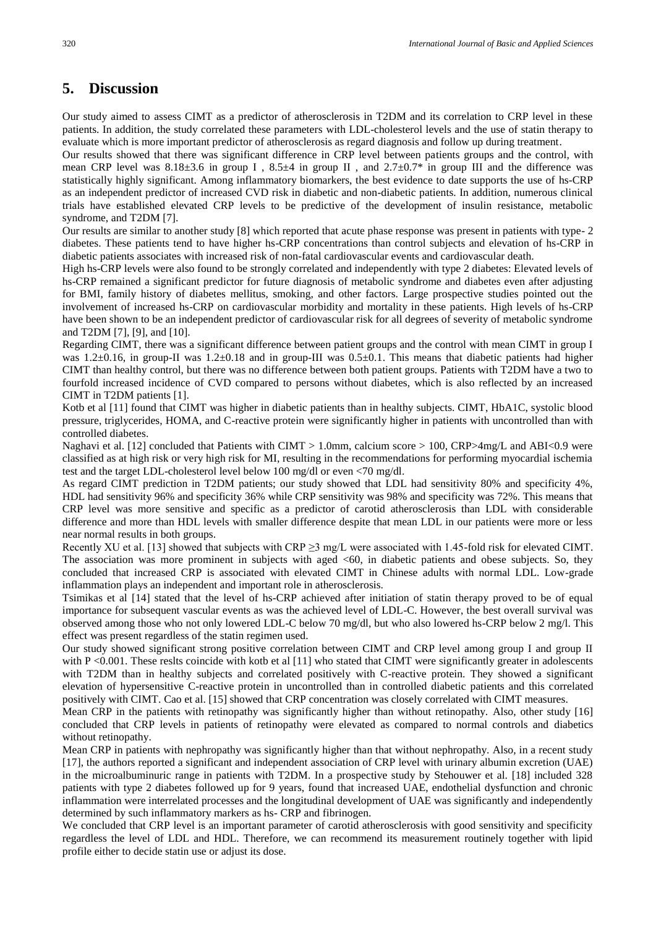#### **5. Discussion**

Our study aimed to assess CIMT as a predictor of atherosclerosis in T2DM and its correlation to CRP level in these patients. In addition, the study correlated these parameters with LDL-cholesterol levels and the use of statin therapy to evaluate which is more important predictor of atherosclerosis as regard diagnosis and follow up during treatment.

Our results showed that there was significant difference in CRP level between patients groups and the control, with mean CRP level was 8.18±3.6 in group I, 8.5±4 in group II, and 2.7±0.7\* in group III and the difference was statistically highly significant. Among inflammatory biomarkers, the best evidence to date supports the use of hs-CRP as an independent predictor of increased CVD risk in diabetic and non-diabetic patients. In addition, numerous clinical trials have established elevated CRP levels to be predictive of the development of insulin resistance, metabolic syndrome, and T2DM [7].

Our results are similar to another study [8] which reported that acute phase response was present in patients with type- 2 diabetes. These patients tend to have higher hs-CRP concentrations than control subjects and elevation of hs-CRP in diabetic patients associates with increased risk of non-fatal cardiovascular events and cardiovascular death.

High hs-CRP levels were also found to be strongly correlated and independently with type 2 diabetes: Elevated levels of hs-CRP remained a significant predictor for future diagnosis of metabolic syndrome and diabetes even after adjusting for BMI, family history of diabetes mellitus, smoking, and other factors. Large prospective studies pointed out the involvement of increased hs-CRP on cardiovascular morbidity and mortality in these patients. High levels of hs-CRP have been shown to be an independent predictor of cardiovascular risk for all degrees of severity of metabolic syndrome and T2DM [7], [9], and [10].

Regarding CIMT, there was a significant difference between patient groups and the control with mean CIMT in group I was 1.2±0.16, in group-II was 1.2±0.18 and in group-III was 0.5±0.1. This means that diabetic patients had higher CIMT than healthy control, but there was no difference between both patient groups. Patients with T2DM have a two to fourfold increased incidence of CVD compared to persons without diabetes, which is also reflected by an increased CIMT in T2DM patients [1].

Kotb et al [11] found that CIMT was higher in diabetic patients than in healthy subjects. CIMT, HbA1C, systolic blood pressure, triglycerides, HOMA, and C-reactive protein were significantly higher in patients with uncontrolled than with controlled diabetes.

Naghavi et al. [12] concluded that Patients with CIMT > 1.0mm, calcium score > 100, CRP>4mg/L and ABI<0.9 were classified as at high risk or very high risk for MI, resulting in the recommendations for performing myocardial ischemia test and the target LDL-cholesterol level below 100 mg/dl or even <70 mg/dl.

As regard CIMT prediction in T2DM patients; our study showed that LDL had sensitivity 80% and specificity 4%, HDL had sensitivity 96% and specificity 36% while CRP sensitivity was 98% and specificity was 72%. This means that CRP level was more sensitive and specific as a predictor of carotid atherosclerosis than LDL with considerable difference and more than HDL levels with smaller difference despite that mean LDL in our patients were more or less near normal results in both groups.

Recently XU et al. [13] showed that subjects with CRP ≥3 mg/L were associated with 1.45-fold risk for elevated CIMT. The association was more prominent in subjects with aged <60, in diabetic patients and obese subjects. So, they concluded that increased CRP is associated with elevated CIMT in Chinese adults with normal LDL. Low-grade inflammation plays an independent and important role in atherosclerosis.

Tsimikas et al [14] stated that the level of hs-CRP achieved after initiation of statin therapy proved to be of equal importance for subsequent vascular events as was the achieved level of LDL-C. However, the best overall survival was observed among those who not only lowered LDL-C below 70 mg/dl, but who also lowered hs-CRP below 2 mg/l. This effect was present regardless of the statin regimen used.

Our study showed significant strong positive correlation between CIMT and CRP level among group I and group II with P <0.001. These reslts coincide with kotb et al  $[11]$  who stated that CIMT were significantly greater in adolescents with T2DM than in healthy subjects and correlated positively with C-reactive protein. They showed a significant elevation of hypersensitive C-reactive protein in uncontrolled than in controlled diabetic patients and this correlated positively with CIMT. Cao et al. [15] showed that CRP concentration was closely correlated with CIMT measures.

Mean CRP in the patients with retinopathy was significantly higher than without retinopathy. Also, other study [16] concluded that CRP levels in patients of retinopathy were elevated as compared to normal controls and diabetics without retinopathy.

Mean CRP in patients with nephropathy was significantly higher than that without nephropathy. Also, in a recent study [17], the authors reported a significant and independent association of CRP level with urinary albumin excretion (UAE) in the microalbuminuric range in patients with T2DM. In a prospective study by Stehouwer et al. [18] included 328 patients with type 2 diabetes followed up for 9 years, found that increased UAE, endothelial dysfunction and chronic inflammation were interrelated processes and the longitudinal development of UAE was significantly and independently determined by such inflammatory markers as hs- CRP and fibrinogen.

We concluded that CRP level is an important parameter of carotid atherosclerosis with good sensitivity and specificity regardless the level of LDL and HDL. Therefore, we can recommend its measurement routinely together with lipid profile either to decide statin use or adjust its dose.